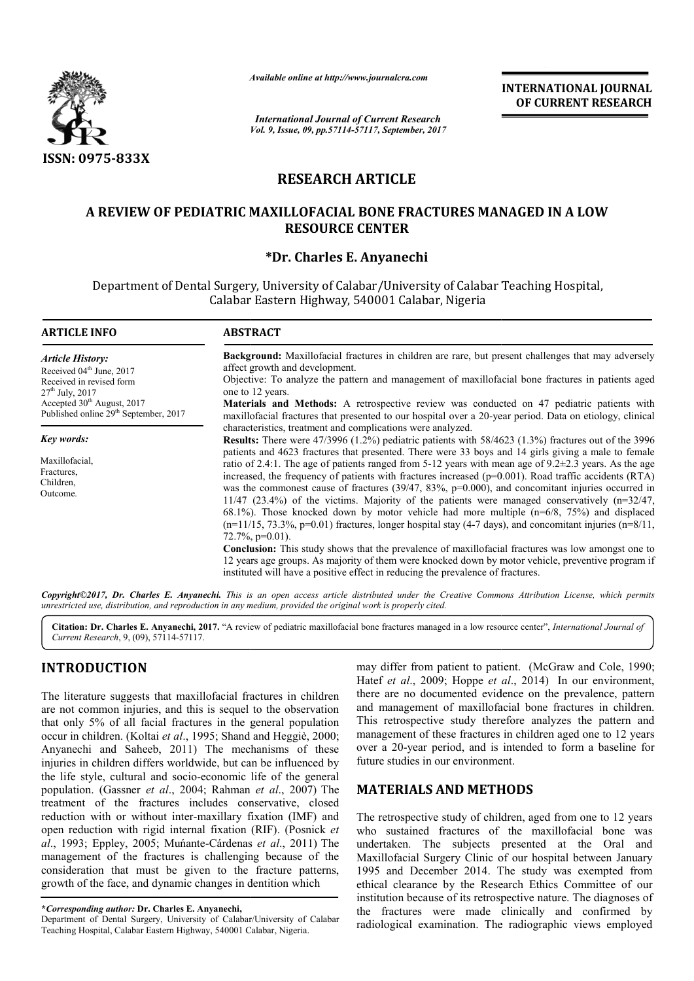

*Available online at http://www.journal*

# **RESEARCH ARTICLE**

# **A REVIEW OF PEDIATRIC MAXILLOFACIAL BONE FRACTURES MANAGED IN A LOW OF PEDIATRIC RESOURCE CENTER**

## **\*Dr. Charles E. Anyanechi**

|                                                                                                                                                                                                                                                                                                                                                                                                                                                    | Available online at http://www.journalcra.com                                                                                                                                                                                                                                                                                                                                                                                                                                                                                                                                                                                                                                                                                                                                                                                                                                                                                                                                                                                                                                                                                                                                                                                                                                                                                                                                                                                                                                                                                                                                                                                                                                                                                    |                                                                    | <b>INTERNATIONAL JOURNAL</b><br>OF CURRENT RESEARCH                                                                                                                                                                                                                                                                                                                                                                                                                                              |
|----------------------------------------------------------------------------------------------------------------------------------------------------------------------------------------------------------------------------------------------------------------------------------------------------------------------------------------------------------------------------------------------------------------------------------------------------|----------------------------------------------------------------------------------------------------------------------------------------------------------------------------------------------------------------------------------------------------------------------------------------------------------------------------------------------------------------------------------------------------------------------------------------------------------------------------------------------------------------------------------------------------------------------------------------------------------------------------------------------------------------------------------------------------------------------------------------------------------------------------------------------------------------------------------------------------------------------------------------------------------------------------------------------------------------------------------------------------------------------------------------------------------------------------------------------------------------------------------------------------------------------------------------------------------------------------------------------------------------------------------------------------------------------------------------------------------------------------------------------------------------------------------------------------------------------------------------------------------------------------------------------------------------------------------------------------------------------------------------------------------------------------------------------------------------------------------|--------------------------------------------------------------------|--------------------------------------------------------------------------------------------------------------------------------------------------------------------------------------------------------------------------------------------------------------------------------------------------------------------------------------------------------------------------------------------------------------------------------------------------------------------------------------------------|
|                                                                                                                                                                                                                                                                                                                                                                                                                                                    | <b>International Journal of Current Research</b>                                                                                                                                                                                                                                                                                                                                                                                                                                                                                                                                                                                                                                                                                                                                                                                                                                                                                                                                                                                                                                                                                                                                                                                                                                                                                                                                                                                                                                                                                                                                                                                                                                                                                 | Vol. 9, Issue, 09, pp.57114-57117, September, 2017                 |                                                                                                                                                                                                                                                                                                                                                                                                                                                                                                  |
| <b>ISSN: 0975-833X</b>                                                                                                                                                                                                                                                                                                                                                                                                                             |                                                                                                                                                                                                                                                                                                                                                                                                                                                                                                                                                                                                                                                                                                                                                                                                                                                                                                                                                                                                                                                                                                                                                                                                                                                                                                                                                                                                                                                                                                                                                                                                                                                                                                                                  |                                                                    |                                                                                                                                                                                                                                                                                                                                                                                                                                                                                                  |
|                                                                                                                                                                                                                                                                                                                                                                                                                                                    | <b>RESEARCH ARTICLE</b>                                                                                                                                                                                                                                                                                                                                                                                                                                                                                                                                                                                                                                                                                                                                                                                                                                                                                                                                                                                                                                                                                                                                                                                                                                                                                                                                                                                                                                                                                                                                                                                                                                                                                                          |                                                                    |                                                                                                                                                                                                                                                                                                                                                                                                                                                                                                  |
|                                                                                                                                                                                                                                                                                                                                                                                                                                                    | A REVIEW OF PEDIATRIC MAXILLOFACIAL BONE FRACTURES MANAGED IN A LOW<br><b>RESOURCE CENTER</b>                                                                                                                                                                                                                                                                                                                                                                                                                                                                                                                                                                                                                                                                                                                                                                                                                                                                                                                                                                                                                                                                                                                                                                                                                                                                                                                                                                                                                                                                                                                                                                                                                                    |                                                                    |                                                                                                                                                                                                                                                                                                                                                                                                                                                                                                  |
|                                                                                                                                                                                                                                                                                                                                                                                                                                                    | *Dr. Charles E. Anyanechi                                                                                                                                                                                                                                                                                                                                                                                                                                                                                                                                                                                                                                                                                                                                                                                                                                                                                                                                                                                                                                                                                                                                                                                                                                                                                                                                                                                                                                                                                                                                                                                                                                                                                                        |                                                                    |                                                                                                                                                                                                                                                                                                                                                                                                                                                                                                  |
|                                                                                                                                                                                                                                                                                                                                                                                                                                                    | Department of Dental Surgery, University of Calabar/University of Calabar Teaching Hospital,<br>Calabar Eastern Highway, 540001 Calabar, Nigeria                                                                                                                                                                                                                                                                                                                                                                                                                                                                                                                                                                                                                                                                                                                                                                                                                                                                                                                                                                                                                                                                                                                                                                                                                                                                                                                                                                                                                                                                                                                                                                                 |                                                                    |                                                                                                                                                                                                                                                                                                                                                                                                                                                                                                  |
| <b>ARTICLE INFO</b>                                                                                                                                                                                                                                                                                                                                                                                                                                | <b>ABSTRACT</b>                                                                                                                                                                                                                                                                                                                                                                                                                                                                                                                                                                                                                                                                                                                                                                                                                                                                                                                                                                                                                                                                                                                                                                                                                                                                                                                                                                                                                                                                                                                                                                                                                                                                                                                  |                                                                    |                                                                                                                                                                                                                                                                                                                                                                                                                                                                                                  |
| <b>Article History:</b><br>Received 04 <sup>th</sup> June, 2017<br>Received in revised form<br>27 <sup>th</sup> July, 2017<br>Accepted 30 <sup>th</sup> August, 2017<br>Published online 29 <sup>th</sup> September, 2017                                                                                                                                                                                                                          | Background: Maxillofacial fractures in children are rare, but present challenges that may adversely<br>affect growth and development.<br>Objective: To analyze the pattern and management of maxillofacial bone fractures in patients aged<br>one to 12 years.<br>Materials and Methods: A retrospective review was conducted on 47 pediatric patients with<br>maxillofacial fractures that presented to our hospital over a 20-year period. Data on etiology, clinical<br>characteristics, treatment and complications were analyzed.<br>Results: There were 47/3996 (1.2%) pediatric patients with 58/4623 (1.3%) fractures out of the 3996<br>patients and 4623 fractures that presented. There were 33 boys and 14 girls giving a male to female<br>ratio of 2.4:1. The age of patients ranged from 5-12 years with mean age of $9.2\pm2.3$ years. As the age<br>increased, the frequency of patients with fractures increased ( $p=0.001$ ). Road traffic accidents (RTA)<br>was the commonest cause of fractures (39/47, 83%, $p=0.000$ ), and concomitant injuries occurred in<br>$11/47$ (23.4%) of the victims. Majority of the patients were managed conservatively (n=32/47,<br>68.1%). Those knocked down by motor vehicle had more multiple $(n=6/8, 75%)$ and displaced<br>$(n=1/15, 73.3\%, p=0.01)$ fractures, longer hospital stay (4-7 days), and concomitant injuries $(n=8/11, 1/10.5)$<br>72.7%, $p=0.01$ ).<br>Conclusion: This study shows that the prevalence of maxillofacial fractures was low amongst one to<br>12 years age groups. As majority of them were knocked down by motor vehicle, preventive program if<br>instituted will have a positive effect in reducing the prevalence of fractures. |                                                                    |                                                                                                                                                                                                                                                                                                                                                                                                                                                                                                  |
| Key words:<br>Maxillofacial,<br>Fractures,<br>Children,<br>Outcome.                                                                                                                                                                                                                                                                                                                                                                                |                                                                                                                                                                                                                                                                                                                                                                                                                                                                                                                                                                                                                                                                                                                                                                                                                                                                                                                                                                                                                                                                                                                                                                                                                                                                                                                                                                                                                                                                                                                                                                                                                                                                                                                                  |                                                                    |                                                                                                                                                                                                                                                                                                                                                                                                                                                                                                  |
| unrestricted use, distribution, and reproduction in any medium, provided the original work is properly cited.                                                                                                                                                                                                                                                                                                                                      |                                                                                                                                                                                                                                                                                                                                                                                                                                                                                                                                                                                                                                                                                                                                                                                                                                                                                                                                                                                                                                                                                                                                                                                                                                                                                                                                                                                                                                                                                                                                                                                                                                                                                                                                  |                                                                    | Copyright@2017, Dr. Charles E. Anyanechi. This is an open access article distributed under the Creative Commons Attribution License, which permits                                                                                                                                                                                                                                                                                                                                               |
| Current Research, 9, (09), 57114-57117.                                                                                                                                                                                                                                                                                                                                                                                                            |                                                                                                                                                                                                                                                                                                                                                                                                                                                                                                                                                                                                                                                                                                                                                                                                                                                                                                                                                                                                                                                                                                                                                                                                                                                                                                                                                                                                                                                                                                                                                                                                                                                                                                                                  |                                                                    | Citation: Dr. Charles E. Anyanechi, 2017. "A review of pediatric maxillofacial bone fractures managed in a low resource center", International Journal of                                                                                                                                                                                                                                                                                                                                        |
| <b>INTRODUCTION</b><br>The literature suggests that maxillofacial fractures in children<br>are not common injuries, and this is sequel to the observation<br>that only 5% of all facial fractures in the general population<br>occur in children. (Koltai et al., 1995; Shand and Heggiè, 2000;<br>Anyanechi and Saheeb, 2011) The mechanisms of these                                                                                             |                                                                                                                                                                                                                                                                                                                                                                                                                                                                                                                                                                                                                                                                                                                                                                                                                                                                                                                                                                                                                                                                                                                                                                                                                                                                                                                                                                                                                                                                                                                                                                                                                                                                                                                                  |                                                                    | may differ from patient to patient. (McGraw and Cole, 1990;<br>Hatef et al., 2009; Hoppe et al., 2014) In our environment,<br>there are no documented evidence on the prevalence, pattern<br>and management of maxillofacial bone fractures in children.<br>This retrospective study therefore analyzes the pattern and<br>management of these fractures in children aged one to 12 years<br>over a 20-year period, and is intended to form a baseline for                                       |
| injuries in children differs worldwide, but can be influenced by<br>the life style, cultural and socio-economic life of the general<br>population. (Gassner et al., 2004; Rahman et al., 2007) The                                                                                                                                                                                                                                                 |                                                                                                                                                                                                                                                                                                                                                                                                                                                                                                                                                                                                                                                                                                                                                                                                                                                                                                                                                                                                                                                                                                                                                                                                                                                                                                                                                                                                                                                                                                                                                                                                                                                                                                                                  | future studies in our environment.<br><b>MATERIALS AND METHODS</b> |                                                                                                                                                                                                                                                                                                                                                                                                                                                                                                  |
| treatment of the fractures includes conservative, closed<br>reduction with or without inter-maxillary fixation (IMF) and<br>open reduction with rigid internal fixation (RIF). (Posnick et<br>al., 1993; Eppley, 2005; Muńante-Cárdenas et al., 2011) The<br>management of the fractures is challenging because of the<br>consideration that must be given to the fracture patterns,<br>growth of the face, and dynamic changes in dentition which |                                                                                                                                                                                                                                                                                                                                                                                                                                                                                                                                                                                                                                                                                                                                                                                                                                                                                                                                                                                                                                                                                                                                                                                                                                                                                                                                                                                                                                                                                                                                                                                                                                                                                                                                  |                                                                    | The retrospective study of children, aged from one to 12 years<br>who sustained fractures of the maxillofacial bone was<br>undertaken. The subjects presented at the Oral<br>and<br>Maxillofacial Surgery Clinic of our hospital between January<br>1995 and December 2014. The study was exempted from<br>ethical clearance by the Research Ethics Committee of our<br>institution because of its retrospective nature. The diagnoses of<br>the fractures were made clinically and confirmed by |
| *Corresponding author: Dr. Charles E. Anyanechi,<br>Department of Dental Surgery, University of Calabar/University of Calabar<br>Teaching Hospital, Calabar Eastern Highway, 540001 Calabar, Nigeria                                                                                                                                                                                                                                               |                                                                                                                                                                                                                                                                                                                                                                                                                                                                                                                                                                                                                                                                                                                                                                                                                                                                                                                                                                                                                                                                                                                                                                                                                                                                                                                                                                                                                                                                                                                                                                                                                                                                                                                                  |                                                                    | radiological examination. The radiographic views employed                                                                                                                                                                                                                                                                                                                                                                                                                                        |

# **INTRODUCTION**

Department of Dental Surgery, University of Calabar/University of Calabar Teaching Hospital, Calabar Eastern Highway, 540001 Calabar, Nigeria Nigeria.

## **MATERIALS AND METHODS METHODS**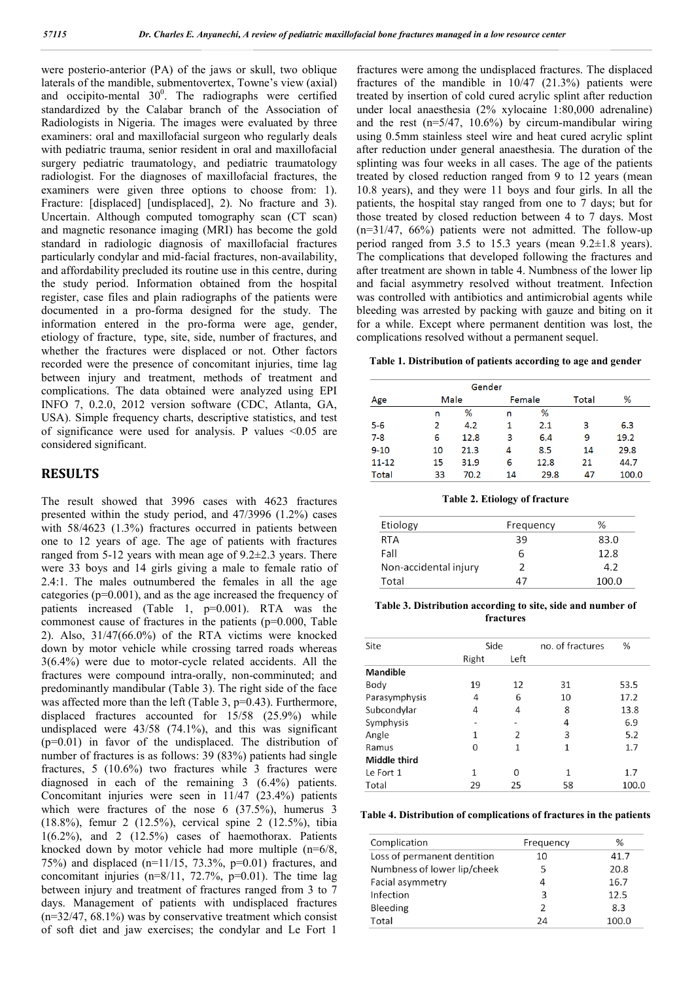were posterio-anterior (PA) of the jaws or skull, two oblique laterals of the mandible, submentovertex, Towne's view (axial) and occipito-mental  $30^0$ . The radiographs were certified standardized by the Calabar branch of the Association of Radiologists in Nigeria. The images were evaluated by three examiners: oral and maxillofacial surgeon who regularly deals with pediatric trauma, senior resident in oral and maxillofacial surgery pediatric traumatology, and pediatric traumatology radiologist. For the diagnoses of maxillofacial fractures, the examiners were given three options to choose from: 1). Fracture: [displaced] [undisplaced], 2). No fracture and 3). Uncertain. Although computed tomography scan (CT scan) and magnetic resonance imaging (MRI) has become the gold standard in radiologic diagnosis of maxillofacial fractures particularly condylar and mid-facial fractures, non-availability, and affordability precluded its routine use in this centre, during the study period. Information obtained from the hospital register, case files and plain radiographs of the patients were documented in a pro-forma designed for the study. The information entered in the pro-forma were age, gender, etiology of fracture, type, site, side, number of fractures, and whether the fractures were displaced or not. Other factors recorded were the presence of concomitant injuries, time lag between injury and treatment, methods of treatment and complications. The data obtained were analyzed using EPI INFO 7, 0.2.0, 2012 version software (CDC, Atlanta, GA, USA). Simple frequency charts, descriptive statistics, and test of significance were used for analysis. P values <0.05 are considered significant.

### **RESULTS**

The result showed that 3996 cases with 4623 fractures presented within the study period, and 47/3996 (1.2%) cases with 58/4623 (1.3%) fractures occurred in patients between one to 12 years of age. The age of patients with fractures ranged from 5-12 years with mean age of 9.2±2.3 years. There were 33 boys and 14 girls giving a male to female ratio of 2.4:1. The males outnumbered the females in all the age categories ( $p=0.001$ ), and as the age increased the frequency of patients increased (Table 1, p=0.001). RTA was the commonest cause of fractures in the patients (p=0.000, Table 2). Also, 31/47(66.0%) of the RTA victims were knocked down by motor vehicle while crossing tarred roads whereas 3(6.4%) were due to motor-cycle related accidents. All the fractures were compound intra-orally, non-comminuted; and predominantly mandibular (Table 3). The right side of the face was affected more than the left (Table 3, p=0.43). Furthermore, displaced fractures accounted for 15/58 (25.9%) while undisplaced were 43/58 (74.1%), and this was significant (p=0.01) in favor of the undisplaced. The distribution of number of fractures is as follows: 39 (83%) patients had single fractures, 5 (10.6%) two fractures while 3 fractures were diagnosed in each of the remaining 3 (6.4%) patients. Concomitant injuries were seen in 11/47 (23.4%) patients which were fractures of the nose 6 (37.5%), humerus 3 (18.8%), femur 2 (12.5%), cervical spine 2 (12.5%), tibia  $1(6.2\%)$ , and 2  $(12.5\%)$  cases of haemothorax. Patients knocked down by motor vehicle had more multiple (n=6/8, 75%) and displaced (n=11/15, 73.3%, p=0.01) fractures, and concomitant injuries  $(n=8/11, 72.7\%, p=0.01)$ . The time lag between injury and treatment of fractures ranged from 3 to 7 days. Management of patients with undisplaced fractures (n=32/47, 68.1%) was by conservative treatment which consist of soft diet and jaw exercises; the condylar and Le Fort 1

fractures were among the undisplaced fractures. The displaced fractures of the mandible in 10/47 (21.3%) patients were treated by insertion of cold cured acrylic splint after reduction under local anaesthesia (2% xylocaine 1:80,000 adrenaline) and the rest  $(n=5/47, 10.6%)$  by circum-mandibular wiring using 0.5mm stainless steel wire and heat cured acrylic splint after reduction under general anaesthesia. The duration of the splinting was four weeks in all cases. The age of the patients treated by closed reduction ranged from 9 to 12 years (mean 10.8 years), and they were 11 boys and four girls. In all the patients, the hospital stay ranged from one to 7 days; but for those treated by closed reduction between 4 to 7 days. Most  $(n=31/47, 66%)$  patients were not admitted. The follow-up period ranged from 3.5 to 15.3 years (mean 9.2±1.8 years). The complications that developed following the fractures and after treatment are shown in table 4. Numbness of the lower lip and facial asymmetry resolved without treatment. Infection was controlled with antibiotics and antimicrobial agents while bleeding was arrested by packing with gauze and biting on it for a while. Except where permanent dentition was lost, the complications resolved without a permanent sequel.

#### **Table 1. Distribution of patients according to age and gender**

| Gender       |      |      |        |      |       |       |
|--------------|------|------|--------|------|-------|-------|
| Age          | Male |      | Female |      | Total | %     |
|              | n    | %    | n      | %    |       |       |
| $5 - 6$      | 2    | 4.2  | 1      | 2.1  | з     | 6.3   |
| $7 - 8$      | 6    | 12.8 | 3      | 6.4  | 9     | 19.2  |
| $9 - 10$     | 10   | 21.3 | 4      | 8.5  | 14    | 29.8  |
| $11 - 12$    | 15   | 31.9 | 6      | 12.8 | 21    | 44.7  |
| <b>Total</b> | 33   | 70.2 | 14     | 29.8 | 47    | 100.0 |

**Table 2. Etiology of fracture**

| Etiology              | Frequency | $\%$  |
|-----------------------|-----------|-------|
| RTA                   | 39        | 83.0  |
| Fall                  | h         | 12.8  |
| Non-accidental injury |           | 4.2   |
| Total                 | 47        | 100.0 |

#### **Table 3. Distribution according to site, side and number of fractures**

| Site            | Side  |                | no. of fractures | %     |
|-----------------|-------|----------------|------------------|-------|
|                 | Right | Left           |                  |       |
| <b>Mandible</b> |       |                |                  |       |
| Body            | 19    | 12             | 31               | 53.5  |
| Parasymphysis   | 4     | 6              | 10               | 17.2  |
| Subcondylar     | 4     | 4              | 8                | 13.8  |
| Symphysis       |       |                | 4                | 6.9   |
| Angle           | 1     | $\overline{2}$ | 3                | 5.2   |
| Ramus           | 0     | 1              | 1                | 1.7   |
| Middle third    |       |                |                  |       |
| Le Fort 1       | 1     | $\Omega$       | 1                | 1.7   |
| Total           | 29    | 25             | 58               | 100.0 |

### **Table 4. Distribution of complications of fractures in the patients**

| Complication                | Frequency     | ℅     |
|-----------------------------|---------------|-------|
| Loss of permanent dentition | 10            | 41.7  |
| Numbness of lower lip/cheek | 5             | 20.8  |
| Facial asymmetry            | 4             | 16.7  |
| Infection                   | 3             | 12.5  |
| Bleeding                    | $\mathcal{P}$ | 8.3   |
| Total                       | 24            | 100.0 |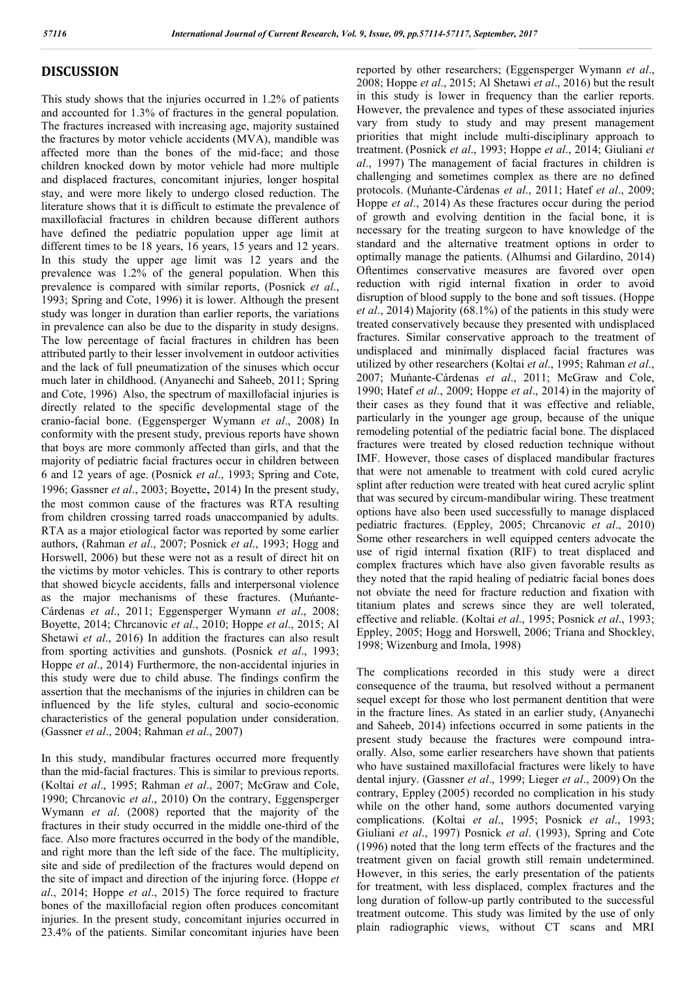## **DISCUSSION**

This study shows that the injuries occurred in 1.2% of patients and accounted for 1.3% of fractures in the general population. The fractures increased with increasing age, majority sustained the fractures by motor vehicle accidents (MVA), mandible was affected more than the bones of the mid-face; and those children knocked down by motor vehicle had more multiple and displaced fractures, concomitant injuries, longer hospital stay, and were more likely to undergo closed reduction. The literature shows that it is difficult to estimate the prevalence of maxillofacial fractures in children because different authors have defined the pediatric population upper age limit at different times to be 18 years, 16 years, 15 years and 12 years. In this study the upper age limit was 12 years and the prevalence was 1.2% of the general population. When this prevalence is compared with similar reports, (Posnick *et al*., 1993; Spring and Cote, 1996) it is lower. Although the present study was longer in duration than earlier reports, the variations in prevalence can also be due to the disparity in study designs. The low percentage of facial fractures in children has been attributed partly to their lesser involvement in outdoor activities and the lack of full pneumatization of the sinuses which occur much later in childhood. (Anyanechi and Saheeb, 2011; Spring and Cote, 1996) Also, the spectrum of maxillofacial injuries is directly related to the specific developmental stage of the cranio-facial bone. (Eggensperger Wymann *et al*., 2008) In conformity with the present study, previous reports have shown that boys are more commonly affected than girls, and that the majority of pediatric facial fractures occur in children between 6 and 12 years of age. (Posnick *et al*., 1993; Spring and Cote, 1996; Gassner *et al*., 2003; Boyette, 2014) In the present study, the most common cause of the fractures was RTA resulting from children crossing tarred roads unaccompanied by adults. RTA as a major etiological factor was reported by some earlier authors, (Rahman *et al*., 2007; Posnick *et al*., 1993; Hogg and Horswell, 2006) but these were not as a result of direct hit on the victims by motor vehicles. This is contrary to other reports that showed bicycle accidents, falls and interpersonal violence as the major mechanisms of these fractures. (Muńante-Cárdenas *et al*., 2011; Eggensperger Wymann *et al*., 2008; Boyette, 2014; Chrcanovic *et al*., 2010; Hoppe *et al*., 2015; Al Shetawi *et al*., 2016) In addition the fractures can also result from sporting activities and gunshots. (Posnick *et al*., 1993; Hoppe *et al*., 2014) Furthermore, the non-accidental injuries in this study were due to child abuse. The findings confirm the assertion that the mechanisms of the injuries in children can be influenced by the life styles, cultural and socio-economic characteristics of the general population under consideration. (Gassner *et al*., 2004; Rahman *et al*., 2007)

In this study, mandibular fractures occurred more frequently than the mid-facial fractures. This is similar to previous reports. (Koltai *et al*., 1995; Rahman *et al*., 2007; McGraw and Cole, 1990; Chrcanovic *et al*., 2010) On the contrary, Eggensperger Wymann *et al*. (2008) reported that the majority of the fractures in their study occurred in the middle one-third of the face. Also more fractures occurred in the body of the mandible, and right more than the left side of the face. The multiplicity, site and side of predilection of the fractures would depend on the site of impact and direction of the injuring force. (Hoppe *et al*., 2014; Hoppe *et al*., 2015) The force required to fracture bones of the maxillofacial region often produces concomitant injuries. In the present study, concomitant injuries occurred in 23.4% of the patients. Similar concomitant injuries have been

reported by other researchers; (Eggensperger Wymann *et al*., 2008; Hoppe *et al*., 2015; Al Shetawi *et al*., 2016) but the result in this study is lower in frequency than the earlier reports. However, the prevalence and types of these associated injuries vary from study to study and may present management priorities that might include multi-disciplinary approach to treatment. (Posnick *et al*., 1993; Hoppe *et al*., 2014; Giuliani *et al*., 1997) The management of facial fractures in children is challenging and sometimes complex as there are no defined protocols. (Muńante-Cárdenas *et al*., 2011; Hatef *et al*., 2009; Hoppe *et al*., 2014) As these fractures occur during the period of growth and evolving dentition in the facial bone, it is necessary for the treating surgeon to have knowledge of the standard and the alternative treatment options in order to optimally manage the patients. (Alhumsi and Gilardino, 2014) Oftentimes conservative measures are favored over open reduction with rigid internal fixation in order to avoid disruption of blood supply to the bone and soft tissues. (Hoppe *et al*., 2014) Majority (68.1%) of the patients in this study were treated conservatively because they presented with undisplaced fractures. Similar conservative approach to the treatment of undisplaced and minimally displaced facial fractures was utilized by other researchers (Koltai *et al*., 1995; Rahman *et al*., 2007; Muńante-Cárdenas *et al*., 2011; McGraw and Cole, 1990; Hatef *et al*., 2009; Hoppe *et al*., 2014) in the majority of their cases as they found that it was effective and reliable, particularly in the younger age group, because of the unique remodeling potential of the pediatric facial bone. The displaced fractures were treated by closed reduction technique without IMF. However, those cases of displaced mandibular fractures that were not amenable to treatment with cold cured acrylic splint after reduction were treated with heat cured acrylic splint that was secured by circum-mandibular wiring. These treatment options have also been used successfully to manage displaced pediatric fractures. (Eppley, 2005; Chrcanovic *et al*., 2010) Some other researchers in well equipped centers advocate the use of rigid internal fixation (RIF) to treat displaced and complex fractures which have also given favorable results as they noted that the rapid healing of pediatric facial bones does not obviate the need for fracture reduction and fixation with titanium plates and screws since they are well tolerated, effective and reliable. (Koltai *et al*., 1995; Posnick *et al*., 1993; Eppley, 2005; Hogg and Horswell, 2006; Triana and Shockley, 1998; Wizenburg and Imola, 1998)

The complications recorded in this study were a direct consequence of the trauma, but resolved without a permanent sequel except for those who lost permanent dentition that were in the fracture lines. As stated in an earlier study, (Anyanechi and Saheeb, 2014) infections occurred in some patients in the present study because the fractures were compound intraorally. Also, some earlier researchers have shown that patients who have sustained maxillofacial fractures were likely to have dental injury. (Gassner *et al*., 1999; Lieger *et al*., 2009) On the contrary, Eppley (2005) recorded no complication in his study while on the other hand, some authors documented varying complications. (Koltai *et al*., 1995; Posnick *et al*., 1993; Giuliani *et al*., 1997) Posnick *et al*. (1993), Spring and Cote (1996) noted that the long term effects of the fractures and the treatment given on facial growth still remain undetermined. However, in this series, the early presentation of the patients for treatment, with less displaced, complex fractures and the long duration of follow-up partly contributed to the successful treatment outcome. This study was limited by the use of only plain radiographic views, without CT scans and MRI